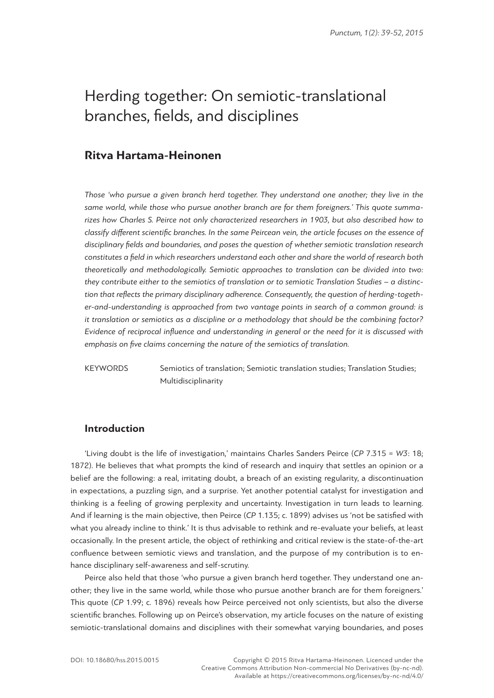# Herding together: On semiotic-translational branches, fields, and disciplines

## **Ritva Hartama-Heinonen**

*Those 'who pursue a given branch herd together. They understand one another; they live in the same world, while those who pursue another branch are for them foreigners.' This quote summarizes how Charles S. Peirce not only characterized researchers in 1903, but also described how to classify different scientific branches. In the same Peircean vein, the article focuses on the essence of disciplinary fields and boundaries, and poses the question of whether semiotic translation research constitutes a field in which researchers understand each other and share the world of research both theoretically and methodologically. Semiotic approaches to translation can be divided into two: they contribute either to the semiotics of translation or to semiotic Translation Studies – a distinction that reflects the primary disciplinary adherence. Consequently, the question of herding-together-and-understanding is approached from two vantage points in search of a common ground: is it translation or semiotics as a discipline or a methodology that should be the combining factor? Evidence of reciprocal influence and understanding in general or the need for it is discussed with emphasis on five claims concerning the nature of the semiotics of translation.*

KEYWORDS Semiotics of translation; Semiotic translation studies; Translation Studies; Multidisciplinarity

## **Ιntroduction**

'Living doubt is the life of investigation,' maintains Charles Sanders Peirce (*CP* 7.315 = *W3*: 18; 1872). He believes that what prompts the kind of research and inquiry that settles an opinion or a belief are the following: a real, irritating doubt, a breach of an existing regularity, a discontinuation in expectations, a puzzling sign, and a surprise. Yet another potential catalyst for investigation and thinking is a feeling of growing perplexity and uncertainty. Investigation in turn leads to learning. And if learning is the main objective, then Peirce (*CP* 1.135; c. 1899) advises us 'not be satisfied with what you already incline to think.' It is thus advisable to rethink and re-evaluate your beliefs, at least occasionally. In the present article, the object of rethinking and critical review is the state-of-the-art confluence between semiotic views and translation, and the purpose of my contribution is to enhance disciplinary self-awareness and self-scrutiny.

Peirce also held that those 'who pursue a given branch herd together. They understand one another; they live in the same world, while those who pursue another branch are for them foreigners.' This quote (*CP* 1.99; c. 1896) reveals how Peirce perceived not only scientists, but also the diverse scientific branches. Following up on Peirce's observation, my article focuses on the nature of existing semiotic-translational domains and disciplines with their somewhat varying boundaries, and poses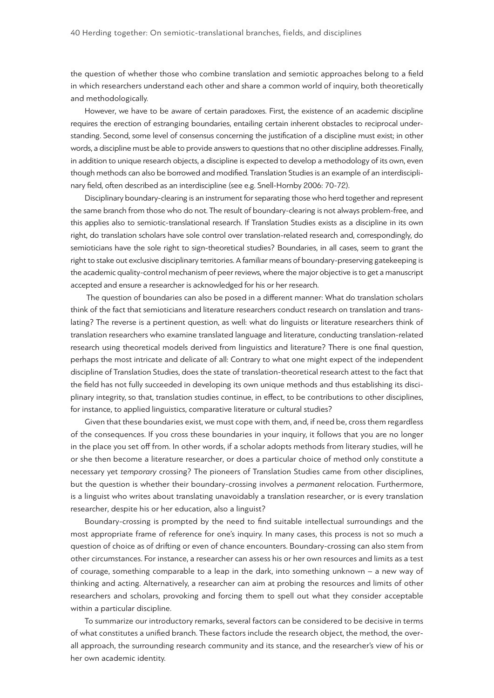the question of whether those who combine translation and semiotic approaches belong to a field in which researchers understand each other and share a common world of inquiry, both theoretically and methodologically.

However, we have to be aware of certain paradoxes. First, the existence of an academic discipline requires the erection of estranging boundaries, entailing certain inherent obstacles to reciprocal understanding. Second, some level of consensus concerning the justification of a discipline must exist; in other words, a discipline must be able to provide answers to questions that no other discipline addresses. Finally, in addition to unique research objects, a discipline is expected to develop a methodology of its own, even though methods can also be borrowed and modified. Translation Studies is an example of an interdisciplinary field, often described as an interdiscipline (see e.g. Snell-Hornby 2006: 70-72).

Disciplinary boundary-clearing is an instrument for separating those who herd together and represent the same branch from those who do not. The result of boundary-clearing is not always problem-free, and this applies also to semiotic-translational research. If Translation Studies exists as a discipline in its own right, do translation scholars have sole control over translation-related research and, correspondingly, do semioticians have the sole right to sign-theoretical studies? Boundaries, in all cases, seem to grant the right to stake out exclusive disciplinary territories. A familiar means of boundary-preserving gatekeeping is the academic quality-control mechanism of peer reviews, where the major objective is to get a manuscript accepted and ensure a researcher is acknowledged for his or her research.

 The question of boundaries can also be posed in a different manner: What do translation scholars think of the fact that semioticians and literature researchers conduct research on translation and translating? The reverse is a pertinent question, as well: what do linguists or literature researchers think of translation researchers who examine translated language and literature, conducting translation-related research using theoretical models derived from linguistics and literature? There is one final question, perhaps the most intricate and delicate of all: Contrary to what one might expect of the independent discipline of Translation Studies, does the state of translation-theoretical research attest to the fact that the field has not fully succeeded in developing its own unique methods and thus establishing its disciplinary integrity, so that, translation studies continue, in effect, to be contributions to other disciplines, for instance, to applied linguistics, comparative literature or cultural studies?

Given that these boundaries exist, we must cope with them, and, if need be, cross them regardless of the consequences. If you cross these boundaries in your inquiry, it follows that you are no longer in the place you set off from. In other words, if a scholar adopts methods from literary studies, will he or she then become a literature researcher, or does a particular choice of method only constitute a necessary yet *temporary* crossing? The pioneers of Translation Studies came from other disciplines, but the question is whether their boundary-crossing involves a *permanent* relocation. Furthermore, is a linguist who writes about translating unavoidably a translation researcher, or is every translation researcher, despite his or her education, also a linguist?

Boundary-crossing is prompted by the need to find suitable intellectual surroundings and the most appropriate frame of reference for one's inquiry. In many cases, this process is not so much a question of choice as of drifting or even of chance encounters. Boundary-crossing can also stem from other circumstances. For instance, a researcher can assess his or her own resources and limits as a test of courage, something comparable to a leap in the dark, into something unknown – a new way of thinking and acting. Alternatively, a researcher can aim at probing the resources and limits of other researchers and scholars, provoking and forcing them to spell out what they consider acceptable within a particular discipline.

To summarize our introductory remarks, several factors can be considered to be decisive in terms of what constitutes a unified branch. These factors include the research object, the method, the overall approach, the surrounding research community and its stance, and the researcher's view of his or her own academic identity.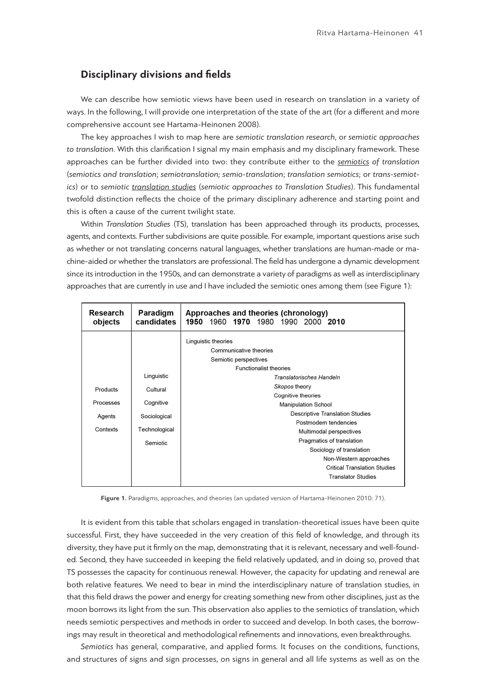## **Disciplinary divisions and fields**

We can describe how semiotic views have been used in research on translation in a variety of ways. In the following, I will provide one interpretation of the state of the art (for a different and more comprehensive account see Hartama-Heinonen 2008).

The key approaches I wish to map here are *semiotic translation research*, or *semiotic approaches to translation*. With this clarification I signal my main emphasis and my disciplinary framework. These approaches can be further divided into two: they contribute either to the *semiotics of translation* (*semiotics and translation*; *semiotranslation; semio-translation*; *translation semiotics*; or *trans-semiotics*) or to *semiotic translation studies* (*semiotic approaches to Translation Studies*). This fundamental twofold distinction reflects the choice of the primary disciplinary adherence and starting point and this is often a cause of the current twilight state.

Within *Translation Studies* (TS), translation has been approached through its products, processes, agents, and contexts. Further subdivisions are quite possible. For example, important questions arise such as whether or not translating concerns natural languages, whether translations are human-made or machine-aided or whether the translators are professional. The field has undergone a dynamic development since its introduction in the 1950s, and can demonstrate a variety of paradigms as well as interdisciplinary approaches that are currently in use and I have included the semiotic ones among them (see Figure 1):

| Research<br>objects | Paradigm<br>candidates | Approaches and theories (chronology)<br>1960 1970 1980 1990 2000 2010<br>1950 |
|---------------------|------------------------|-------------------------------------------------------------------------------|
|                     |                        | Linguistic theories                                                           |
|                     |                        | Communicative theories                                                        |
|                     |                        | Semiotic perspectives                                                         |
|                     |                        | <b>Functionalist theories</b>                                                 |
|                     | Linguistic             | Translatorisches Handeln                                                      |
| Products            | Cultural               | Skopos theory                                                                 |
|                     |                        | Cognitive theories                                                            |
| Processes           | Cognitive              | <b>Manipulation School</b>                                                    |
| Agents              | Sociological           | <b>Descriptive Translation Studies</b>                                        |
|                     |                        | Postmodern tendencies                                                         |
| Contexts            | Technological          | Multimodal perspectives                                                       |
|                     | Semiotic               | Pragmatics of translation                                                     |
|                     |                        | Sociology of translation                                                      |
|                     |                        | Non-Western approaches                                                        |
|                     |                        | <b>Critical Translation Studies</b>                                           |
|                     |                        | <b>Translator Studies</b>                                                     |
|                     |                        |                                                                               |

**Figure 1.** Paradigms, approaches, and theories (an updated version of Hartama-Heinonen 2010: 71).

It is evident from this table that scholars engaged in translation-theoretical issues have been quite successful. First, they have succeeded in the very creation of this field of knowledge, and through its diversity, they have put it firmly on the map, demonstrating that it is relevant, necessary and well-founded. Second, they have succeeded in keeping the field relatively updated, and in doing so, proved that TS possesses the capacity for continuous renewal. However, the capacity for updating and renewal are both relative features. We need to bear in mind the interdisciplinary nature of translation studies, in that this field draws the power and energy for creating something new from other disciplines, just as the moon borrows its light from the sun. This observation also applies to the semiotics of translation, which needs semiotic perspectives and methods in order to succeed and develop. In both cases, the borrowings may result in theoretical and methodological refinements and innovations, even breakthroughs.

*Semiotics* has general, comparative, and applied forms. It focuses on the conditions, functions, and structures of signs and sign processes, on signs in general and all life systems as well as on the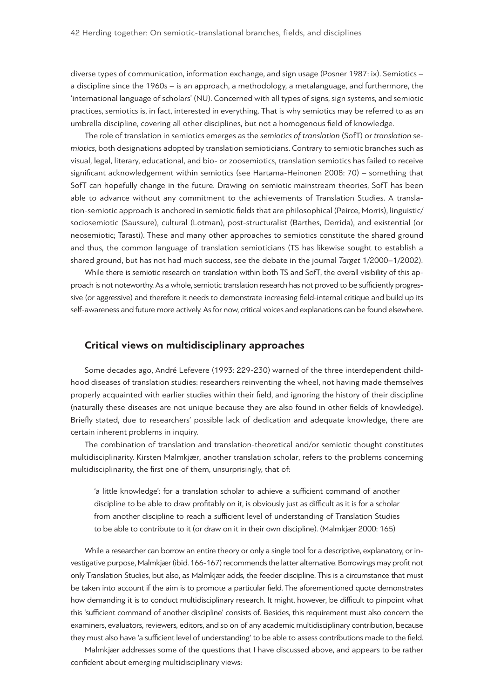diverse types of communication, information exchange, and sign usage (Posner 1987: ix). Semiotics – a discipline since the 1960s – is an approach, a methodology, a metalanguage, and furthermore, the 'international language of scholars' (NU). Concerned with all types of signs, sign systems, and semiotic practices, semiotics is, in fact, interested in everything. That is why semiotics may be referred to as an umbrella discipline, covering all other disciplines, but not a homogenous field of knowledge.

The role of translation in semiotics emerges as the *semiotics of translation* (SofT) or *translation semiotics*, both designations adopted by translation semioticians. Contrary to semiotic branches such as visual, legal, literary, educational, and bio- or zoosemiotics, translation semiotics has failed to receive significant acknowledgement within semiotics (see Hartama-Heinonen 2008: 70) – something that SofT can hopefully change in the future. Drawing on semiotic mainstream theories, SofT has been able to advance without any commitment to the achievements of Translation Studies. A translation-semiotic approach is anchored in semiotic fields that are philosophical (Peirce, Morris), linguistic/ sociosemiotic (Saussure), cultural (Lotman), post-structuralist (Barthes, Derrida), and existential (or neosemiotic; Tarasti). These and many other approaches to semiotics constitute the shared ground and thus, the common language of translation semioticians (TS has likewise sought to establish a shared ground, but has not had much success, see the debate in the journal *Target* 1/2000–1/2002).

While there is semiotic research on translation within both TS and SofT, the overall visibility of this approach is not noteworthy. As a whole, semiotic translation research has not proved to be sufficiently progressive (or aggressive) and therefore it needs to demonstrate increasing field-internal critique and build up its self-awareness and future more actively. As for now, critical voices and explanations can be found elsewhere.

## **Critical views on multidisciplinary approaches**

Some decades ago, André Lefevere (1993: 229-230) warned of the three interdependent childhood diseases of translation studies: researchers reinventing the wheel, not having made themselves properly acquainted with earlier studies within their field, and ignoring the history of their discipline (naturally these diseases are not unique because they are also found in other fields of knowledge). Briefly stated, due to researchers' possible lack of dedication and adequate knowledge, there are certain inherent problems in inquiry.

The combination of translation and translation-theoretical and/or semiotic thought constitutes multidisciplinarity. Kirsten Malmkjær, another translation scholar, refers to the problems concerning multidisciplinarity, the first one of them, unsurprisingly, that of:

'a little knowledge': for a translation scholar to achieve a sufficient command of another discipline to be able to draw profitably on it, is obviously just as difficult as it is for a scholar from another discipline to reach a sufficient level of understanding of Translation Studies to be able to contribute to it (or draw on it in their own discipline). (Malmkjær 2000: 165)

While a researcher can borrow an entire theory or only a single tool for a descriptive, explanatory, or investigative purpose, Malmkjær (ibid. 166-167) recommends the latter alternative. Borrowings may profit not only Translation Studies, but also, as Malmkjær adds, the feeder discipline. This is a circumstance that must be taken into account if the aim is to promote a particular field. The aforementioned quote demonstrates how demanding it is to conduct multidisciplinary research. It might, however, be difficult to pinpoint what this 'sufficient command of another discipline' consists of. Besides, this requirement must also concern the examiners, evaluators, reviewers, editors, and so on of any academic multidisciplinary contribution, because they must also have 'a sufficient level of understanding' to be able to assess contributions made to the field.

Malmkjær addresses some of the questions that I have discussed above, and appears to be rather confident about emerging multidisciplinary views: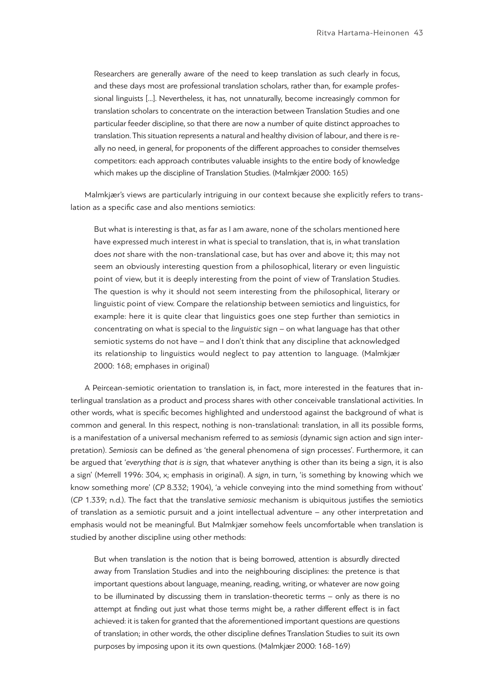Researchers are generally aware of the need to keep translation as such clearly in focus, and these days most are professional translation scholars, rather than, for example professional linguists […]. Nevertheless, it has, not unnaturally, become increasingly common for translation scholars to concentrate on the interaction between Translation Studies and one particular feeder discipline, so that there are now a number of quite distinct approaches to translation. This situation represents a natural and healthy division of labour, and there is really no need, in general, for proponents of the different approaches to consider themselves competitors: each approach contributes valuable insights to the entire body of knowledge which makes up the discipline of Translation Studies. (Malmkjær 2000: 165)

Malmkjær's views are particularly intriguing in our context because she explicitly refers to translation as a specific case and also mentions semiotics:

But what is interesting is that, as far as I am aware, none of the scholars mentioned here have expressed much interest in what is special to translation, that is, in what translation does *not* share with the non-translational case, but has over and above it; this may not seem an obviously interesting question from a philosophical, literary or even linguistic point of view, but it is deeply interesting from the point of view of Translation Studies. The question is why it should not seem interesting from the philosophical, literary or linguistic point of view. Compare the relationship between semiotics and linguistics, for example: here it is quite clear that linguistics goes one step further than semiotics in concentrating on what is special to the *linguistic* sign – on what language has that other semiotic systems do not have – and I don't think that any discipline that acknowledged its relationship to linguistics would neglect to pay attention to language. (Malmkjær 2000: 168; emphases in original)

A Peircean-semiotic orientation to translation is, in fact, more interested in the features that interlingual translation as a product and process shares with other conceivable translational activities. In other words, what is specific becomes highlighted and understood against the background of what is common and general. In this respect, nothing is non-translational: translation, in all its possible forms, is a manifestation of a universal mechanism referred to as *semiosis* (dynamic sign action and sign interpretation). *Semiosis* can be defined as 'the general phenomena of sign processes'. Furthermore, it can be argued that '*everything that is is sign,* that whatever anything is other than its being a sign, it is also a sign' (Merrell 1996: 304, x; emphasis in original). A *sign*, in turn, 'is something by knowing which we know something more' (*CP* 8.332; 1904), 'a vehicle conveying into the mind something from without' (*CP* 1.339; n.d.). The fact that the translative *semiosic* mechanism is ubiquitous justifies the semiotics of translation as a semiotic pursuit and a joint intellectual adventure – any other interpretation and emphasis would not be meaningful. But Malmkjær somehow feels uncomfortable when translation is studied by another discipline using other methods:

But when translation is the notion that is being borrowed, attention is absurdly directed away from Translation Studies and into the neighbouring disciplines: the pretence is that important questions about language, meaning, reading, writing, or whatever are now going to be illuminated by discussing them in translation-theoretic terms – only as there is no attempt at finding out just what those terms might be, a rather different effect is in fact achieved: it is taken for granted that the aforementioned important questions are questions of translation; in other words, the other discipline defines Translation Studies to suit its own purposes by imposing upon it its own questions. (Malmkjær 2000: 168-169)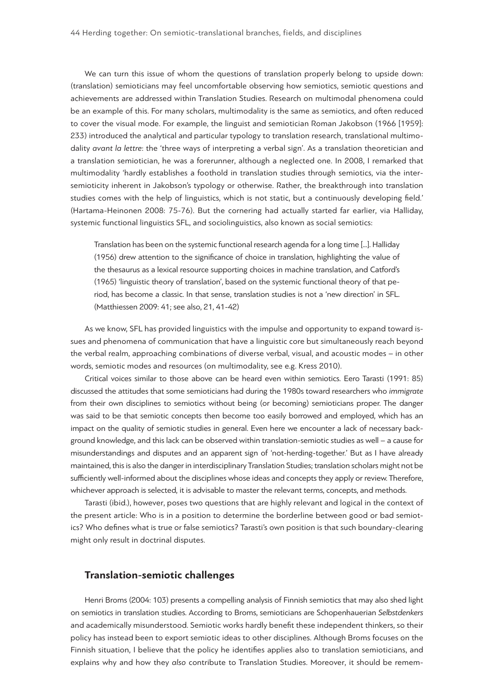We can turn this issue of whom the questions of translation properly belong to upside down: (translation) semioticians may feel uncomfortable observing how semiotics, semiotic questions and achievements are addressed within Translation Studies. Research on multimodal phenomena could be an example of this. For many scholars, multimodality is the same as semiotics, and often reduced to cover the visual mode. For example, the linguist and semiotician Roman Jakobson (1966 [1959]: 233) introduced the analytical and particular typology to translation research, translational multimodality *avant la lettre*: the 'three ways of interpreting a verbal sign'. As a translation theoretician and a translation semiotician, he was a forerunner, although a neglected one. In 2008, I remarked that multimodality 'hardly establishes a foothold in translation studies through semiotics, via the intersemioticity inherent in Jakobson's typology or otherwise. Rather, the breakthrough into translation studies comes with the help of linguistics, which is not static, but a continuously developing field.' (Hartama-Heinonen 2008: 75-76). But the cornering had actually started far earlier, via Halliday, systemic functional linguistics SFL, and sociolinguistics, also known as social semiotics:

Translation has been on the systemic functional research agenda for a long time [...]. Halliday (1956) drew attention to the significance of choice in translation, highlighting the value of the thesaurus as a lexical resource supporting choices in machine translation, and Catford's (1965) 'linguistic theory of translation', based on the systemic functional theory of that period, has become a classic. In that sense, translation studies is not a 'new direction' in SFL. (Matthiessen 2009: 41; see also, 21, 41-42)

As we know, SFL has provided linguistics with the impulse and opportunity to expand toward issues and phenomena of communication that have a linguistic core but simultaneously reach beyond the verbal realm, approaching combinations of diverse verbal, visual, and acoustic modes – in other words, semiotic modes and resources (on multimodality, see e.g. Kress 2010).

Critical voices similar to those above can be heard even within semiotics. Eero Tarasti (1991: 85) discussed the attitudes that some semioticians had during the 1980s toward researchers who *immigrate* from their own disciplines to semiotics without being (or becoming) semioticians proper. The danger was said to be that semiotic concepts then become too easily borrowed and employed, which has an impact on the quality of semiotic studies in general. Even here we encounter a lack of necessary background knowledge, and this lack can be observed within translation-semiotic studies as well – a cause for misunderstandings and disputes and an apparent sign of 'not-herding-together.' But as I have already maintained, this is also the danger in interdisciplinary Translation Studies; translation scholars might not be sufficiently well-informed about the disciplines whose ideas and concepts they apply or review. Therefore, whichever approach is selected, it is advisable to master the relevant terms, concepts, and methods.

Tarasti (ibid.), however, poses two questions that are highly relevant and logical in the context of the present article: Who is in a position to determine the borderline between good or bad semiotics? Who defines what is true or false semiotics? Tarasti's own position is that such boundary-clearing might only result in doctrinal disputes.

## **Translation-semiotic challenges**

Henri Broms (2004: 103) presents a compelling analysis of Finnish semiotics that may also shed light on semiotics in translation studies. According to Broms, semioticians are Schopenhauerian *Selbstdenkers* and academically misunderstood. Semiotic works hardly benefit these independent thinkers, so their policy has instead been to export semiotic ideas to other disciplines. Although Broms focuses on the Finnish situation, I believe that the policy he identifies applies also to translation semioticians, and explains why and how they *also* contribute to Translation Studies. Moreover, it should be remem-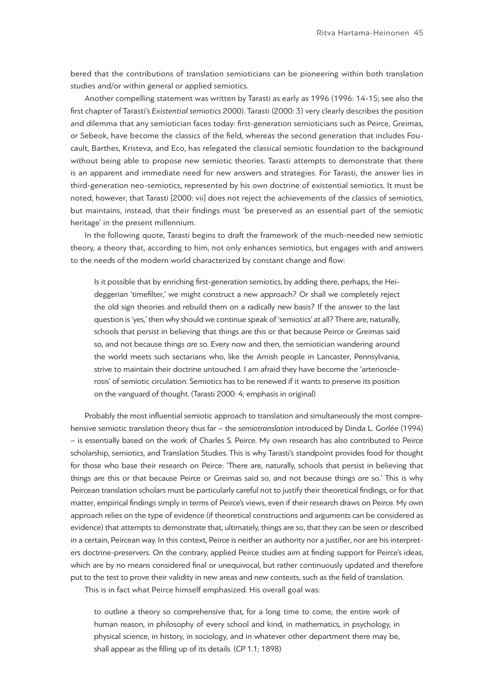bered that the contributions of translation semioticians can be pioneering within both translation studies and/or within general or applied semiotics.

Another compelling statement was written by Tarasti as early as 1996 (1996: 14-15; see also the first chapter of Tarasti's *Existential semiotics* 2000). Tarasti (2000: 3) very clearly describes the position and dilemma that any semiotician faces today: first-generation semioticians such as Peirce, Greimas, or Sebeok, have become the classics of the field, whereas the second generation that includes Foucault, Barthes, Kristeva, and Eco, has relegated the classical semiotic foundation to the background without being able to propose new semiotic theories. Tarasti attempts to demonstrate that there is an apparent and immediate need for new answers and strategies. For Tarasti, the answer lies in third-generation neo-semiotics, represented by his own doctrine of existential semiotics. It must be noted, however, that Tarasti [2000: vii] does not reject the achievements of the classics of semiotics, but maintains, instead, that their findings must 'be preserved as an essential part of the semiotic heritage' in the present millennium.

In the following quote, Tarasti begins to draft the framework of the much-needed new semiotic theory, a theory that, according to him, not only enhances semiotics, but engages with and answers to the needs of the modern world characterized by constant change and flow:

Is it possible that by enriching first-generation semiotics, by adding there, perhaps, the Heideggerian 'timefilter,' we might construct a new approach? Or shall we completely reject the old sign theories and rebuild them on a radically new basis? If the answer to the last question is 'yes,' then why should we continue speak of 'semiotics' at all? There are, naturally, schools that persist in believing that things are this or that because Peirce or Greimas said so, and not because things *are* so. Every now and then, the semiotician wandering around the world meets such sectarians who, like the Amish people in Lancaster, Pennsylvania, strive to maintain their doctrine untouched. I am afraid they have become the 'arteriosclerosis' of semiotic circulation. Semiotics has to be renewed if it wants to preserve its position on the vanguard of thought. (Tarasti 2000: 4; emphasis in original)

Probably the most influential semiotic approach to translation and simultaneously the most comprehensive semiotic translation theory thus far – the *semiotranslation* introduced by Dinda L. Gorlée (1994) – is essentially based on the work of Charles S. Peirce. My own research has also contributed to Peirce scholarship, semiotics, and Translation Studies. This is why Tarasti's standpoint provides food for thought for those who base their research on Peirce: 'There are, naturally, schools that persist in believing that things are this or that because Peirce or Greimas said so, and not because things *are* so.' This is why Peircean translation scholars must be particularly careful not to justify their theoretical findings, or for that matter, empirical findings simply in terms of Peirce's views, even if their research draws on Peirce. My own approach relies on the type of evidence (if theoretical constructions and arguments can be considered as evidence) that attempts to demonstrate that, ultimately, things are so, that they can be seen or described in a certain, Peircean way. In this context, Peirce is neither an authority nor a justifier, nor are his interpreters doctrine-preservers. On the contrary, applied Peirce studies aim at finding support for Peirce's ideas, which are by no means considered final or unequivocal, but rather continuously updated and therefore put to the test to prove their validity in new areas and new contexts, such as the field of translation.

This is in fact what Peirce himself emphasized. His overall goal was:

to outline a theory so comprehensive that, for a long time to come, the entire work of human reason, in philosophy of every school and kind, in mathematics, in psychology, in physical science, in history, in sociology, and in whatever other department there may be, shall appear as the filling up of its details. (*CP* 1.1; 1898)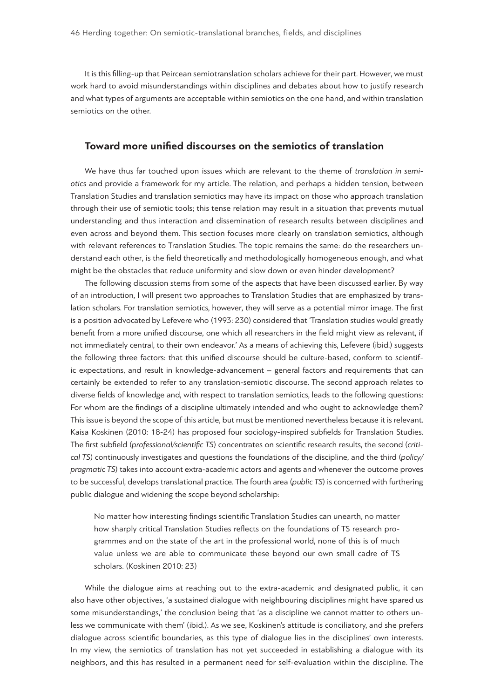It is this filling-up that Peircean semiotranslation scholars achieve for their part. However, we must work hard to avoid misunderstandings within disciplines and debates about how to justify research and what types of arguments are acceptable within semiotics on the one hand, and within translation semiotics on the other.

### **Toward more unified discourses on the semiotics of translation**

We have thus far touched upon issues which are relevant to the theme of *translation in semiotics* and provide a framework for my article. The relation, and perhaps a hidden tension, between Translation Studies and translation semiotics may have its impact on those who approach translation through their use of semiotic tools; this tense relation may result in a situation that prevents mutual understanding and thus interaction and dissemination of research results between disciplines and even across and beyond them. This section focuses more clearly on translation semiotics, although with relevant references to Translation Studies. The topic remains the same: do the researchers understand each other, is the field theoretically and methodologically homogeneous enough, and what might be the obstacles that reduce uniformity and slow down or even hinder development?

The following discussion stems from some of the aspects that have been discussed earlier. By way of an introduction, I will present two approaches to Translation Studies that are emphasized by translation scholars. For translation semiotics, however, they will serve as a potential mirror image. The first is a position advocated by Lefevere who (1993: 230) considered that 'Translation studies would greatly benefit from a more unified discourse, one which all researchers in the field might view as relevant, if not immediately central, to their own endeavor.' As a means of achieving this, Lefevere (ibid.) suggests the following three factors: that this unified discourse should be culture-based, conform to scientific expectations, and result in knowledge-advancement – general factors and requirements that can certainly be extended to refer to any translation-semiotic discourse. The second approach relates to diverse fields of knowledge and, with respect to translation semiotics, leads to the following questions: For whom are the findings of a discipline ultimately intended and who ought to acknowledge them? This issue is beyond the scope of this article, but must be mentioned nevertheless because it is relevant. Kaisa Koskinen (2010: 18-24) has proposed four sociology-inspired subfields for Translation Studies. The first subfield (*professional/scientific TS*) concentrates on scientific research results, the second (*critical TS*) continuously investigates and questions the foundations of the discipline, and the third (*policy/ pragmatic TS*) takes into account extra-academic actors and agents and whenever the outcome proves to be successful, develops translational practice. The fourth area (*public TS*) is concerned with furthering public dialogue and widening the scope beyond scholarship:

No matter how interesting findings scientific Translation Studies can unearth, no matter how sharply critical Translation Studies reflects on the foundations of TS research programmes and on the state of the art in the professional world, none of this is of much value unless we are able to communicate these beyond our own small cadre of TS scholars. (Koskinen 2010: 23)

While the dialogue aims at reaching out to the extra-academic and designated public, it can also have other objectives, 'a sustained dialogue with neighbouring disciplines might have spared us some misunderstandings,' the conclusion being that 'as a discipline we cannot matter to others unless we communicate with them' (ibid.). As we see, Koskinen's attitude is conciliatory, and she prefers dialogue across scientific boundaries, as this type of dialogue lies in the disciplines' own interests. In my view, the semiotics of translation has not yet succeeded in establishing a dialogue with its neighbors, and this has resulted in a permanent need for self-evaluation within the discipline. The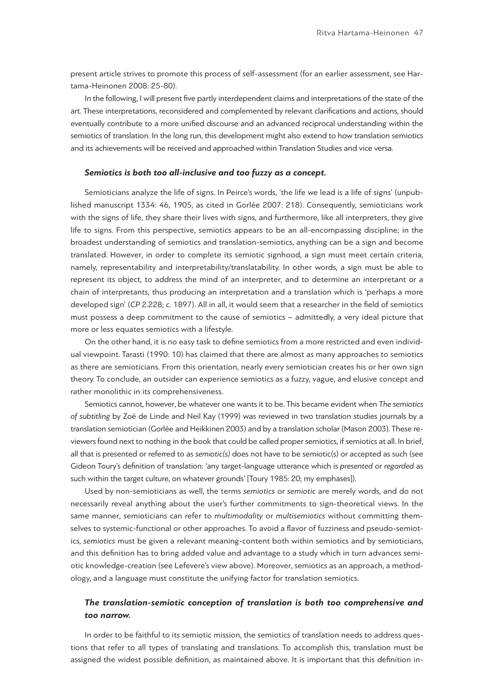present article strives to promote this process of self-assessment (for an earlier assessment, see Hartama-Heinonen 2008: 25-80).

In the following, I will present five partly interdependent claims and interpretations of the state of the art. These interpretations, reconsidered and complemented by relevant clarifications and actions, should eventually contribute to a more unified discourse and an advanced reciprocal understanding within the semiotics of translation. In the long run, this development might also extend to how translation semiotics and its achievements will be received and approached within Translation Studies and vice versa.

#### *Semiotics is both too all-inclusive and too fuzzy as a concept.*

Semioticians analyze the life of signs. In Peirce's words, 'the life we lead is a life of signs' (unpublished manuscript 1334: 46, 1905, as cited in Gorlée 2007: 218). Consequently, semioticians work with the signs of life, they share their lives with signs, and furthermore, like all interpreters, they give life to signs. From this perspective, semiotics appears to be an all-encompassing discipline; in the broadest understanding of semiotics and translation-semiotics, anything can be a sign and become translated. However, in order to complete its semiotic signhood, a sign must meet certain criteria, namely, representability and interpretability/translatability. In other words, a sign must be able to represent its object, to address the mind of an interpreter, and to determine an interpretant or a chain of interpretants, thus producing an interpretation and a translation which is 'perhaps a more developed sign' (*CP* 2.228; c. 1897). All in all, it would seem that a researcher in the field of semiotics must possess a deep commitment to the cause of semiotics – admittedly, a very ideal picture that more or less equates semiotics with a lifestyle.

On the other hand, it is no easy task to define semiotics from a more restricted and even individual viewpoint. Tarasti (1990: 10) has claimed that there are almost as many approaches to semiotics as there are semioticians. From this orientation, nearly every semiotician creates his or her own sign theory. To conclude, an outsider can experience semiotics as a fuzzy, vague, and elusive concept and rather monolithic in its comprehensiveness.

Semiotics cannot, however, be whatever one wants it to be. This became evident when *The semiotics of subtitling* by Zoé de Linde and Neil Kay (1999) was reviewed in two translation studies journals by a translation semiotician (Gorlée and Heikkinen 2003) and by a translation scholar (Mason 2003). These reviewers found next to nothing in the book that could be called proper semiotics, if semiotics at all. In brief, all that is presented or referred to as *semiotic(s)* does not have to be semiotic(s) or accepted as such (see Gideon Toury's definition of translation: 'any target-language utterance which is *presented* or *regarded* as such within the target culture, on whatever grounds' [Toury 1985: 20; my emphases]).

Used by non-semioticians as well, the terms *semiotics* or *semiotic* are merely words, and do not necessarily reveal anything about the user's further commitments to sign-theoretical views. In the same manner, semioticians can refer to *multimodality* or *multisemiotics* without committing themselves to systemic-functional or other approaches. To avoid a flavor of fuzziness and pseudo-semiotics, *semiotics* must be given a relevant meaning-content both within semiotics and by semioticians, and this definition has to bring added value and advantage to a study which in turn advances semiotic knowledge-creation (see Lefevere's view above). Moreover, semiotics as an approach, a methodology, and a language must constitute the unifying factor for translation semiotics.

## *The translation-semiotic conception of translation is both too comprehensive and too narrow.*

In order to be faithful to its semiotic mission, the semiotics of translation needs to address questions that refer to all types of translating and translations. To accomplish this, translation must be assigned the widest possible definition, as maintained above. It is important that this definition in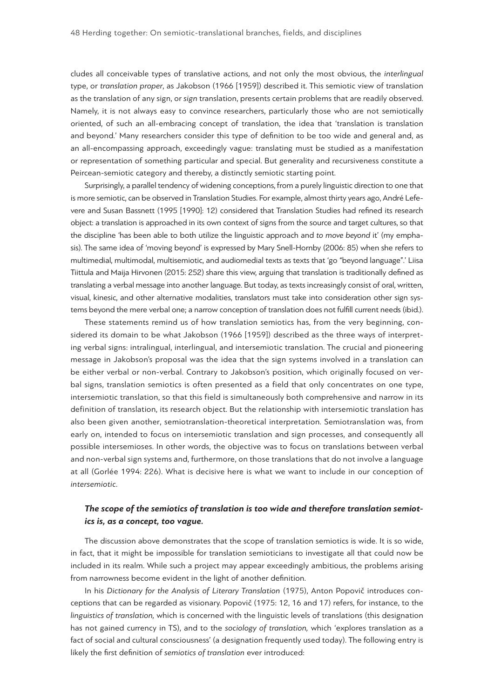cludes all conceivable types of translative actions, and not only the most obvious, the *interlingual* type, or *translation proper*, as Jakobson (1966 [1959]) described it. This semiotic view of translation as the translation of any sign, or *sign* translation, presents certain problems that are readily observed. Namely, it is not always easy to convince researchers, particularly those who are not semiotically oriented, of such an all-embracing concept of translation, the idea that 'translation is translation and beyond.' Many researchers consider this type of definition to be too wide and general and, as an all-encompassing approach, exceedingly vague: translating must be studied as a manifestation or representation of something particular and special. But generality and recursiveness constitute a Peircean-semiotic category and thereby, a distinctly semiotic starting point.

Surprisingly, a parallel tendency of widening conceptions, from a purely linguistic direction to one that is more semiotic, can be observed in Translation Studies. For example, almost thirty years ago, André Lefevere and Susan Bassnett (1995 [1990]: 12) considered that Translation Studies had refined its research object: a translation is approached in its own context of signs from the source and target cultures, so that the discipline 'has been able to both utilize the linguistic approach and *to move beyond* it' (my emphasis). The same idea of 'moving beyond' is expressed by Mary Snell-Hornby (2006: 85) when she refers to multimedial, multimodal, multisemiotic, and audiomedial texts as texts that 'go "beyond language".' Liisa Tiittula and Maija Hirvonen (2015: 252) share this view, arguing that translation is traditionally defined as translating a verbal message into another language. But today, as texts increasingly consist of oral, written, visual, kinesic, and other alternative modalities, translators must take into consideration other sign systems beyond the mere verbal one; a narrow conception of translation does not fulfill current needs (ibid.).

These statements remind us of how translation semiotics has, from the very beginning, considered its domain to be what Jakobson (1966 [1959]) described as the three ways of interpreting verbal signs: intralingual, interlingual, and intersemiotic translation. The crucial and pioneering message in Jakobson's proposal was the idea that the sign systems involved in a translation can be either verbal or non-verbal. Contrary to Jakobson's position, which originally focused on verbal signs, translation semiotics is often presented as a field that only concentrates on one type, intersemiotic translation, so that this field is simultaneously both comprehensive and narrow in its definition of translation, its research object. But the relationship with intersemiotic translation has also been given another, semiotranslation-theoretical interpretation. Semiotranslation was, from early on, intended to focus on intersemiotic translation and sign processes, and consequently all possible intersemioses. In other words, the objective was to focus on translations between verbal and non-verbal sign systems and, furthermore, on those translations that do not involve a language at all (Gorlée 1994: 226). What is decisive here is what we want to include in our conception of *intersemiotic*.

## *The scope of the semiotics of translation is too wide and therefore translation semiotics is, as a concept, too vague.*

The discussion above demonstrates that the scope of translation semiotics is wide. It is so wide, in fact, that it might be impossible for translation semioticians to investigate all that could now be included in its realm. While such a project may appear exceedingly ambitious, the problems arising from narrowness become evident in the light of another definition.

In his *Dictionary for the Analysis of Literary Translation* (1975), Anton Popovič introduces conceptions that can be regarded as visionary. Popovič (1975: 12, 16 and 17) refers, for instance, to the *linguistics of translation,* which is concerned with the linguistic levels of translations (this designation has not gained currency in TS), and to the *sociology of translation,* which 'explores translation as a fact of social and cultural consciousness' (a designation frequently used today). The following entry is likely the first definition of *semiotics of translation* ever introduced: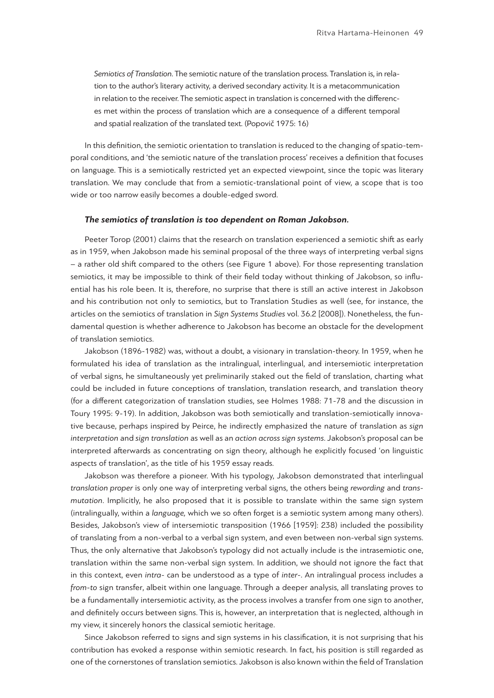*Semiotics of Translation*. The semiotic nature of the translation process. Translation is, in relation to the author's literary activity, a derived secondary activity. It is a metacommunication in relation to the receiver. The semiotic aspect in translation is concerned with the differences met within the process of translation which are a consequence of a different temporal and spatial realization of the translated text. (Popovič 1975: 16)

In this definition, the semiotic orientation to translation is reduced to the changing of spatio-temporal conditions, and 'the semiotic nature of the translation process' receives a definition that focuses on language. This is a semiotically restricted yet an expected viewpoint, since the topic was literary translation. We may conclude that from a semiotic-translational point of view, a scope that is too wide or too narrow easily becomes a double-edged sword.

#### *The semiotics of translation is too dependent on Roman Jakobson.*

Peeter Torop (2001) claims that the research on translation experienced a semiotic shift as early as in 1959, when Jakobson made his seminal proposal of the three ways of interpreting verbal signs – a rather old shift compared to the others (see Figure 1 above). For those representing translation semiotics, it may be impossible to think of their field today without thinking of Jakobson, so influential has his role been. It is, therefore, no surprise that there is still an active interest in Jakobson and his contribution not only to semiotics, but to Translation Studies as well (see, for instance, the articles on the semiotics of translation in *Sign Systems Studies* vol. 36.2 [2008]). Nonetheless, the fundamental question is whether adherence to Jakobson has become an obstacle for the development of translation semiotics.

Jakobson (1896-1982) was, without a doubt, a visionary in translation-theory. In 1959, when he formulated his idea of translation as the intralingual, interlingual, and intersemiotic interpretation of verbal signs, he simultaneously yet preliminarily staked out the field of translation, charting what could be included in future conceptions of translation, translation research, and translation theory (for a different categorization of translation studies, see Holmes 1988: 71-78 and the discussion in Toury 1995: 9-19). In addition, Jakobson was both semiotically and translation-semiotically innovative because, perhaps inspired by Peirce, he indirectly emphasized the nature of translation as *sign interpretation* and *sign translation* as well as an *action across sign systems*. Jakobson's proposal can be interpreted afterwards as concentrating on sign theory, although he explicitly focused 'on linguistic aspects of translation', as the title of his 1959 essay reads.

Jakobson was therefore a pioneer. With his typology, Jakobson demonstrated that interlingual *translation proper* is only one way of interpreting verbal signs, the others being *rewording* and *transmutation*. Implicitly, he also proposed that it is possible to translate within the same sign system (intralingually, within a *language,* which we so often forget is a semiotic system among many others). Besides, Jakobson's view of intersemiotic transposition (1966 [1959]: 238) included the possibility of translating from a non-verbal to a verbal sign system, and even between non-verbal sign systems. Thus, the only alternative that Jakobson's typology did not actually include is the intrasemiotic one, translation within the same non-verbal sign system. In addition, we should not ignore the fact that in this context, even *intra*- can be understood as a type of *inter*-. An intralingual process includes a *from*-*to* sign transfer, albeit within one language. Through a deeper analysis, all translating proves to be a fundamentally intersemiotic activity, as the process involves a transfer from one sign to another, and definitely occurs between signs. This is, however, an interpretation that is neglected, although in my view, it sincerely honors the classical semiotic heritage.

Since Jakobson referred to signs and sign systems in his classification, it is not surprising that his contribution has evoked a response within semiotic research. In fact, his position is still regarded as one of the cornerstones of translation semiotics. Jakobson is also known within the field of Translation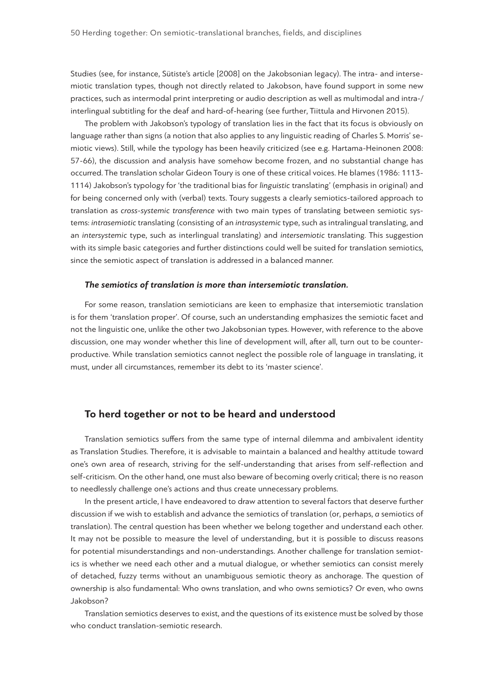Studies (see, for instance, Sütiste's article [2008] on the Jakobsonian legacy). The intra- and intersemiotic translation types, though not directly related to Jakobson, have found support in some new practices, such as intermodal print interpreting or audio description as well as multimodal and intra-/ interlingual subtitling for the deaf and hard-of-hearing (see further, Tiittula and Hirvonen 2015).

The problem with Jakobson's typology of translation lies in the fact that its focus is obviously on language rather than signs (a notion that also applies to any linguistic reading of Charles S. Morris' semiotic views). Still, while the typology has been heavily criticized (see e.g. Hartama-Heinonen 2008: 57-66), the discussion and analysis have somehow become frozen, and no substantial change has occurred. The translation scholar Gideon Toury is one of these critical voices. He blames (1986: 1113- 1114) Jakobson's typology for 'the traditional bias for *linguistic* translating' (emphasis in original) and for being concerned only with (verbal) texts. Toury suggests a clearly semiotics-tailored approach to translation as *cross-systemic transference* with two main types of translating between semiotic systems: *intrasemiotic* translating (consisting of an *intrasystemic* type, such as intralingual translating, and an *intersystemic* type, such as interlingual translating) and *intersemiotic* translating. This suggestion with its simple basic categories and further distinctions could well be suited for translation semiotics, since the semiotic aspect of translation is addressed in a balanced manner.

#### *The semiotics of translation is more than intersemiotic translation.*

For some reason, translation semioticians are keen to emphasize that intersemiotic translation is for them 'translation proper'. Of course, such an understanding emphasizes the semiotic facet and not the linguistic one, unlike the other two Jakobsonian types. However, with reference to the above discussion, one may wonder whether this line of development will, after all, turn out to be counterproductive. While translation semiotics cannot neglect the possible role of language in translating, it must, under all circumstances, remember its debt to its 'master science'.

## **To herd together or not to be heard and understood**

Translation semiotics suffers from the same type of internal dilemma and ambivalent identity as Translation Studies. Therefore, it is advisable to maintain a balanced and healthy attitude toward one's own area of research, striving for the self-understanding that arises from self-reflection and self-criticism. On the other hand, one must also beware of becoming overly critical; there is no reason to needlessly challenge one's actions and thus create unnecessary problems.

In the present article, I have endeavored to draw attention to several factors that deserve further discussion if we wish to establish and advance the semiotics of translation (or, perhaps, *a* semiotics of translation). The central question has been whether we belong together and understand each other. It may not be possible to measure the level of understanding, but it is possible to discuss reasons for potential misunderstandings and non-understandings. Another challenge for translation semiotics is whether we need each other and a mutual dialogue, or whether semiotics can consist merely of detached, fuzzy terms without an unambiguous semiotic theory as anchorage. The question of ownership is also fundamental: Who owns translation, and who owns semiotics? Or even, who owns Jakobson?

Translation semiotics deserves to exist, and the questions of its existence must be solved by those who conduct translation-semiotic research.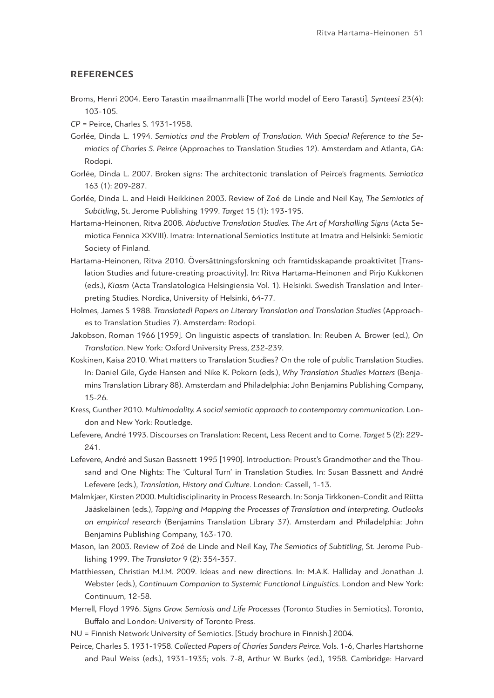#### **REFERENCES**

- Broms, Henri 2004. Eero Tarastin maailmanmalli [The world model of Eero Tarasti]. *Synteesi* 23(4): 103-105.
- *CP* = Peirce, Charles S. 1931-1958.
- Gorlée, Dinda L. 1994. *Semiotics and the Problem of Translation. With Special Reference to the Semiotics of Charles S. Peirce* (Approaches to Translation Studies 12). Amsterdam and Atlanta, GA: Rodopi.
- Gorlée, Dinda L. 2007. Broken signs: The architectonic translation of Peirce's fragments. *Semiotica*  163 (1): 209-287.
- Gorlée, Dinda L. and Heidi Heikkinen 2003. Review of Zoé de Linde and Neil Kay, *The Semiotics of Subtitling*, St. Jerome Publishing 1999. *Target* 15 (1): 193-195.
- Hartama-Heinonen, Ritva 2008. *Abductive Translation Studies. The Art of Marshalling Signs* (Acta Semiotica Fennica XXVIII). Imatra: International Semiotics Institute at Imatra and Helsinki: Semiotic Society of Finland.
- Hartama-Heinonen, Ritva 2010. Översättningsforskning och framtidsskapande proaktivitet [Translation Studies and future-creating proactivity]. In: Ritva Hartama-Heinonen and Pirjo Kukkonen (eds.), *Kiasm* (Acta Translatologica Helsingiensia Vol. 1). Helsinki. Swedish Translation and Interpreting Studies. Nordica, University of Helsinki, 64-77.
- Holmes, James S 1988. *Translated! Papers on Literary Translation and Translation Studies* (Approaches to Translation Studies 7). Amsterdam: Rodopi.
- Jakobson, Roman 1966 [1959]. On linguistic aspects of translation. In: Reuben A. Brower (ed.), *On Translation*. New York: Oxford University Press, 232-239.
- Koskinen, Kaisa 2010. What matters to Translation Studies? On the role of public Translation Studies. In: Daniel Gile, Gyde Hansen and Nike K. Pokorn (eds.), *Why Translation Studies Matters* (Benjamins Translation Library 88). Amsterdam and Philadelphia: John Benjamins Publishing Company, 15-26.
- Kress, Gunther 2010. *Multimodality. A social semiotic approach to contemporary communication.* London and New York: Routledge.
- Lefevere, André 1993. Discourses on Translation: Recent, Less Recent and to Come. *Target* 5 (2): 229- 241.
- Lefevere, André and Susan Bassnett 1995 [1990]. Introduction: Proust's Grandmother and the Thousand and One Nights: The 'Cultural Turn' in Translation Studies. In: Susan Bassnett and André Lefevere (eds.), *Translation, History and Culture*. London: Cassell, 1-13.
- Malmkjær, Kirsten 2000. Multidisciplinarity in Process Research. In: Sonja Tirkkonen-Condit and Riitta Jääskeläinen (eds.), *Tapping and Mapping the Processes of Translation and Interpreting. Outlooks on empirical research* (Benjamins Translation Library 37). Amsterdam and Philadelphia: John Benjamins Publishing Company, 163-170.
- Mason, Ian 2003. Review of Zoé de Linde and Neil Kay, *The Semiotics of Subtitling*, St. Jerome Publishing 1999. *The Translator* 9 (2): 354-357.
- Matthiessen, Christian M.I.M. 2009. Ideas and new directions. In: M.A.K. Halliday and Jonathan J. Webster (eds.), *Continuum Companion to Systemic Functional Linguistics*. London and New York: Continuum, 12-58.
- Merrell, Floyd 1996. *Signs Grow. Semiosis and Life Processes* (Toronto Studies in Semiotics). Toronto, Buffalo and London: University of Toronto Press.
- NU = Finnish Network University of Semiotics. [Study brochure in Finnish.] 2004.
- Peirce, Charles S. 1931-1958. *Collected Papers of Charles Sanders Peirce.* Vols. 1-6, Charles Hartshorne and Paul Weiss (eds.), 1931-1935; vols. 7-8, Arthur W. Burks (ed.), 1958. Cambridge: Harvard